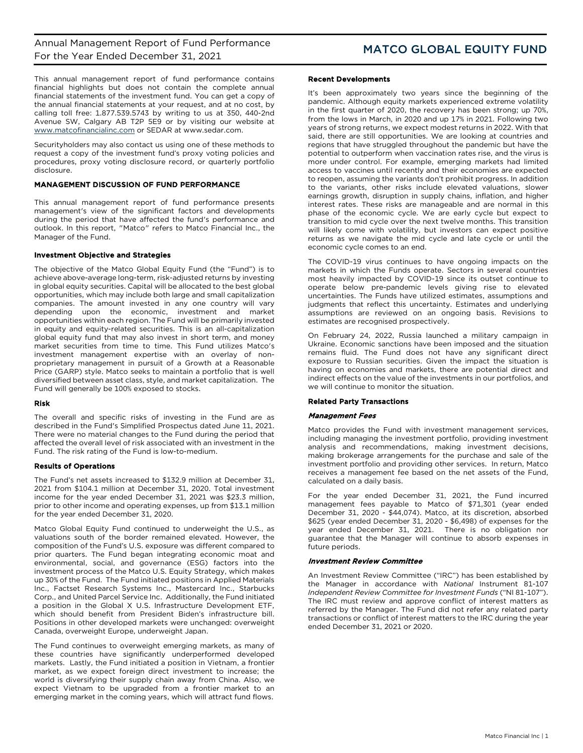This annual management report of fund performance contains financial highlights but does not contain the complete annual financial statements of the investment fund. You can get a copy of the annual financial statements at your request, and at no cost, by calling toll free: 1.877.539.5743 by writing to us at 350, 440-2nd Avenue SW, Calgary AB T2P 5E9 or by visiting our website at [www.matcofinancialinc.com](http://www.matcofinancialinc.com/) or SEDAR at www.sedar.com.

Securityholders may also contact us using one of these methods to request a copy of the investment fund's proxy voting policies and procedures, proxy voting disclosure record, or quarterly portfolio disclosure.

### MANAGEMENT DISCUSSION OF FUND PERFORMANCE

This annual management report of fund performance presents management's view of the significant factors and developments during the period that have affected the fund's performance and outlook. In this report, "Matco" refers to Matco Financial Inc., the Manager of the Fund.

### Investment Objective and Strategies

The objective of the Matco Global Equity Fund (the "Fund") is to achieve above-average long-term, risk-adjusted returns by investing in global equity securities. Capital will be allocated to the best global opportunities, which may include both large and small capitalization companies. The amount invested in any one country will vary depending upon the economic, investment and market opportunities within each region. The Fund will be primarily invested in equity and equity-related securities. This is an all-capitalization global equity fund that may also invest in short term, and money market securities from time to time. This Fund utilizes Matco's investment management expertise with an overlay of nonproprietary management in pursuit of a Growth at a Reasonable Price (GARP) style. Matco seeks to maintain a portfolio that is well diversified between asset class, style, and market capitalization. The Fund will generally be 100% exposed to stocks.

### Risk

The overall and specific risks of investing in the Fund are as described in the Fund's Simplified Prospectus dated June 11, 2021. There were no material changes to the Fund during the period that affected the overall level of risk associated with an investment in the Fund. The risk rating of the Fund is low-to-medium.

### Results of Operations

The Fund's net assets increased to \$132.9 million at December 31, 2021 from \$104.1 million at December 31, 2020. Total investment income for the year ended December 31, 2021 was \$23.3 million, prior to other income and operating expenses, up from \$13.1 million for the year ended December 31, 2020.

Matco Global Equity Fund continued to underweight the U.S., as valuations south of the border remained elevated. However, the composition of the Fund's U.S. exposure was different compared to prior quarters. The Fund began integrating economic moat and environmental, social, and governance (ESG) factors into the investment process of the Matco U.S. Equity Strategy, which makes up 30% of the Fund. The Fund initiated positions in Applied Materials Inc., Factset Research Systems Inc., Mastercard Inc., Starbucks Corp., and United Parcel Service Inc. Additionally, the Fund initiated a position in the Global X U.S. Infrastructure Development ETF, which should benefit from President Biden's infrastructure bill. Positions in other developed markets were unchanged: overweight Canada, overweight Europe, underweight Japan.

The Fund continues to overweight emerging markets, as many of these countries have significantly underperformed developed markets. Lastly, the Fund initiated a position in Vietnam, a frontier market, as we expect foreign direct investment to increase; the world is diversifying their supply chain away from China. Also, we expect Vietnam to be upgraded from a frontier market to an emerging market in the coming years, which will attract fund flows.

### Recent Developments

It's been approximately two years since the beginning of the pandemic. Although equity markets experienced extreme volatility in the first quarter of 2020, the recovery has been strong; up 70%, from the lows in March, in 2020 and up 17% in 2021. Following two years of strong returns, we expect modest returns in 2022. With that said, there are still opportunities. We are looking at countries and regions that have struggled throughout the pandemic but have the potential to outperform when vaccination rates rise, and the virus is more under control. For example, emerging markets had limited access to vaccines until recently and their economies are expected to reopen, assuming the variants don't prohibit progress. In addition to the variants, other risks include elevated valuations, slower earnings growth, disruption in supply chains, inflation, and higher interest rates. These risks are manageable and are normal in this phase of the economic cycle. We are early cycle but expect to transition to mid cycle over the next twelve months. This transition will likely come with volatility, but investors can expect positive returns as we navigate the mid cycle and late cycle or until the economic cycle comes to an end.

The COVID-19 virus continues to have ongoing impacts on the markets in which the Funds operate. Sectors in several countries most heavily impacted by COVID-19 since its outset continue to operate below pre-pandemic levels giving rise to elevated uncertainties. The Funds have utilized estimates, assumptions and judgments that reflect this uncertainty. Estimates and underlying assumptions are reviewed on an ongoing basis. Revisions to estimates are recognised prospectively.

On February 24, 2022, Russia launched a military campaign in Ukraine. Economic sanctions have been imposed and the situation remains fluid. The Fund does not have any significant direct exposure to Russian securities. Given the impact the situation is having on economies and markets, there are potential direct and indirect effects on the value of the investments in our portfolios, and we will continue to monitor the situation.

### Related Party Transactions

### Management Fees

Matco provides the Fund with investment management services, including managing the investment portfolio, providing investment analysis and recommendations, making investment decisions, making brokerage arrangements for the purchase and sale of the investment portfolio and providing other services. In return, Matco receives a management fee based on the net assets of the Fund, calculated on a daily basis.

For the year ended December 31, 2021, the Fund incurred management fees payable to Matco of \$71,301 (year ended December 31, 2020 - \$44,074). Matco, at its discretion, absorbed \$625 (year ended December 31, 2020 - \$6,498) of expenses for the year ended December 31, 2021. There is no obligation nor guarantee that the Manager will continue to absorb expenses in future periods.

### Investment Review Committee

An Investment Review Committee ("IRC") has been established by the Manager in accordance with *National* Instrument 81-107 *Independent Review Committee for Investment Funds* ("NI 81-107"). The IRC must review and approve conflict of interest matters as referred by the Manager. The Fund did not refer any related party transactions or conflict of interest matters to the IRC during the year ended December 31, 2021 or 2020.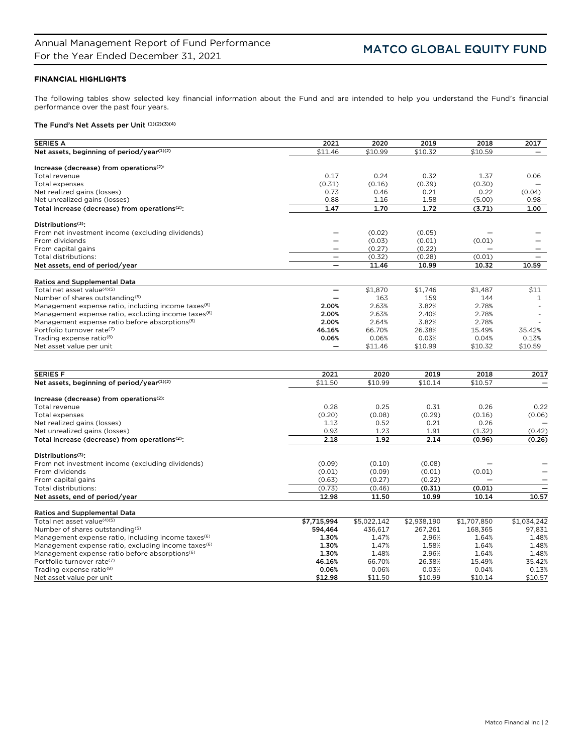# FINANCIAL HIGHLIGHTS

The following tables show selected key financial information about the Fund and are intended to help you understand the Fund's financial performance over the past four years.

# The Fund's Net Assets per Unit (1)(2)(3)(4)

| <b>SERIES A</b>                                                 | 2021                     | 2020        | 2019        | 2018        | 2017         |
|-----------------------------------------------------------------|--------------------------|-------------|-------------|-------------|--------------|
| Net assets, beginning of period/year(1)(2)                      | \$11.46                  | \$10.99     | \$10.32     | \$10.59     |              |
|                                                                 |                          |             |             |             |              |
| Increase (decrease) from operations <sup>(2):</sup>             |                          |             |             |             |              |
| Total revenue                                                   | 0.17                     | 0.24        | 0.32        | 1.37        | 0.06         |
| Total expenses                                                  | (0.31)                   | (0.16)      | (0.39)      | (0.30)      |              |
| Net realized gains (losses)                                     | 0.73<br>0.88             | 0.46        | 0.21        | 0.22        | (0.04)       |
| Net unrealized gains (losses)                                   | 1.47                     | 1.16        | 1.58        | (5.00)      | 0.98<br>1.00 |
| Total increase (decrease) from operations <sup>(2)</sup> :      |                          | 1.70        | 1.72        | (3.71)      |              |
| Distributions <sup>(3)</sup> :                                  |                          |             |             |             |              |
| From net investment income (excluding dividends)                |                          | (0.02)      | (0.05)      |             |              |
| From dividends                                                  | $\overline{\phantom{0}}$ | (0.03)      | (0.01)      | (0.01)      |              |
| From capital gains                                              | —                        | (0.27)      | (0.22)      |             |              |
| Total distributions:                                            | $\overline{\phantom{0}}$ | (0.32)      | (0.28)      | (0.01)      |              |
| Net assets, end of period/year                                  | $\equiv$                 | 11.46       | 10.99       | 10.32       | 10.59        |
| <b>Ratios and Supplemental Data</b>                             |                          |             |             |             |              |
| Total net asset value(4)(5)                                     | —                        | \$1,870     | \$1,746     | \$1,487     | \$11         |
| Number of shares outstanding(5)                                 |                          | 163         | 159         | 144         | 1            |
| Management expense ratio, including income taxes <sup>(6)</sup> | 2.00%                    | 2.63%       | 3.82%       | 2.78%       |              |
| Management expense ratio, excluding income taxes <sup>(6)</sup> | 2.00%                    | 2.63%       | 2.40%       | 2.78%       |              |
| Management expense ratio before absorptions <sup>(6)</sup>      | 2.00%                    | 2.64%       | 3.82%       | 2.78%       |              |
| Portfolio turnover rate(7)                                      | 46.16%                   | 66.70%      | 26.38%      | 15.49%      | 35.42%       |
| Trading expense ratio <sup>(8)</sup>                            | 0.06%                    | 0.06%       | 0.03%       | 0.04%       | 0.13%        |
| Net asset value per unit                                        |                          | \$11.46     | \$10.99     | \$10.32     | \$10.59      |
|                                                                 |                          |             |             |             |              |
| <b>SERIES F</b>                                                 | 2021                     | 2020        | 2019        | 2018        | 2017         |
| Net assets, beginning of period/year(1)(2)                      | \$11.50                  | \$10.99     | \$10.14     | \$10.57     |              |
|                                                                 |                          |             |             |             |              |
| Increase (decrease) from operations <sup>(2):</sup>             |                          |             |             |             |              |
| Total revenue                                                   | 0.28                     | 0.25        | 0.31        | 0.26        | 0.22         |
| <b>Total expenses</b>                                           | (0.20)                   | (0.08)      | (0.29)      | (0.16)      | (0.06)       |
| Net realized gains (losses)                                     | 1.13                     | 0.52        | 0.21        | 0.26        |              |
| Net unrealized gains (losses)                                   | 0.93                     | 1.23        | 1.91        | (1.32)      | (0.42)       |
| Total increase (decrease) from operations <sup>(2)</sup> :      | 2.18                     | 1.92        | 2.14        | (0.96)      | (0.26)       |
| Distributions <sup>(3)</sup> :                                  |                          |             |             |             |              |
| From net investment income (excluding dividends)                | (0.09)                   | (0.10)      | (0.08)      |             |              |
| From dividends                                                  | (0.01)                   | (0.09)      | (0.01)      | (0.01)      |              |
| From capital gains                                              | (0.63)                   | (0.27)      | (0.22)      |             |              |
| Total distributions:                                            | (0.73)                   | (0.46)      | (0.31)      | (0.01)      | ÷            |
| Net assets, end of period/year                                  | 12.98                    | 11.50       | 10.99       | 10.14       | 10.57        |
| <b>Ratios and Supplemental Data</b>                             |                          |             |             |             |              |
| Total net asset value(4)(5)                                     | \$7,715,994              | \$5,022,142 | \$2,938,190 | \$1,707,850 | \$1,034,242  |
| Number of shares outstanding(5)                                 | 594,464                  | 436,617     | 267,261     | 168,365     | 97,831       |
| Management expense ratio, including income taxes <sup>(6)</sup> | 1.30%                    | 1.47%       | 2.96%       | 1.64%       | 1.48%        |
| Management expense ratio, excluding income taxes <sup>(6)</sup> | 1.30%                    | 1.47%       | 1.58%       | 1.64%       | 1.48%        |
| Management expense ratio before absorptions <sup>(6)</sup>      | 1.30%                    | 1.48%       | 2.96%       | 1.64%       | 1.48%        |
| Portfolio turnover rate(7)                                      | 46.16%                   | 66.70%      | 26.38%      | 15.49%      | 35.42%       |
| Trading expense ratio <sup>(8)</sup>                            | 0.06%                    | 0.06%       | 0.03%       | 0.04%       | 0.13%        |
| Net asset value per unit                                        | \$12.98                  | \$11.50     | \$10.99     | \$10.14     | \$10.57      |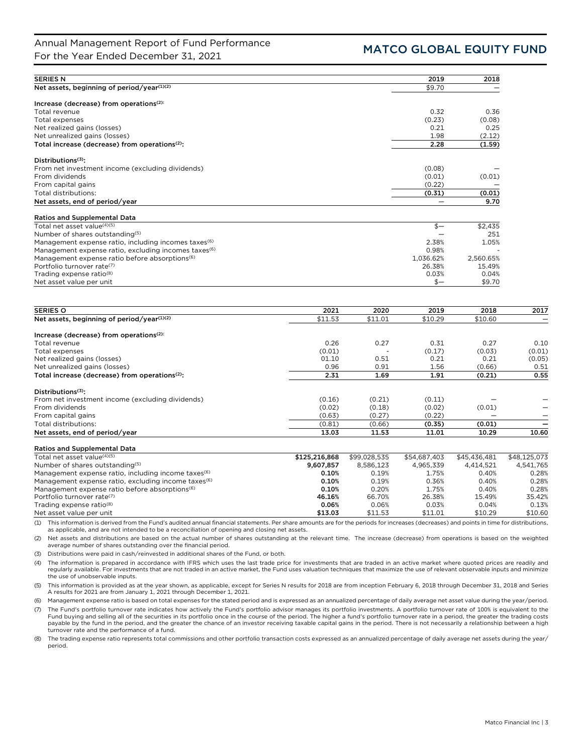| <b>SERIES N</b>                                                  | 2019      | 2018      |
|------------------------------------------------------------------|-----------|-----------|
| Net assets, beginning of period/year(1)(2)                       | \$9.70    |           |
| Increase (decrease) from operations <sup>(2):</sup>              |           |           |
| Total revenue                                                    | 0.32      | 0.36      |
| Total expenses                                                   | (0.23)    | (0.08)    |
| Net realized gains (losses)                                      | 0.21      | 0.25      |
| Net unrealized gains (losses)                                    | 1.98      | (2.12)    |
| Total increase (decrease) from operations <sup>(2)</sup> :       | 2.28      | (1.59)    |
| Distributions <sup>(3)</sup> :                                   |           |           |
| From net investment income (excluding dividends)                 | (0.08)    |           |
| From dividends                                                   | (0.01)    | (0.01)    |
| From capital gains                                               | (0.22)    |           |
| Total distributions:                                             | (0.31)    | (0.01)    |
| Net assets, end of period/year                                   |           | 9.70      |
| <b>Ratios and Supplemental Data</b>                              |           |           |
| Total net asset value(4)(5)                                      | $$-$      | \$2,435   |
| Number of shares outstanding <sup>(5)</sup>                      |           | 251       |
| Management expense ratio, including incomes taxes <sup>(6)</sup> | 2.38%     | 1.05%     |
| Management expense ratio, excluding incomes taxes <sup>(6)</sup> | 0.98%     |           |
| Management expense ratio before absorptions <sup>(6)</sup>       | 1,036.62% | 2,560.65% |
| Portfolio turnover rate(7)                                       | 26.38%    | 15.49%    |
| Trading expense ratio <sup>(8)</sup>                             | 0.03%     | 0.04%     |

Trading expense ratio(8) 0.03% 0.04%

Net asset value per unit  $\frac{1}{2}$ 

| <b>SERIES O</b>                                            | 2021    | 2020    | 2019    | 2018    | 2017   |
|------------------------------------------------------------|---------|---------|---------|---------|--------|
| Net assets, beginning of period/year(1)(2)                 | \$11.53 | \$11.01 | \$10.29 | \$10.60 |        |
| Increase (decrease) from operations <sup>(2):</sup>        |         |         |         |         |        |
| Total revenue                                              | 0.26    | 0.27    | 0.31    | 0.27    | 0.10   |
| Total expenses                                             | (0.01)  |         | (0.17)  | (0.03)  | (0.01) |
| Net realized gains (losses)                                | 01.10   | 0.51    | 0.21    | 0.21    | (0.05) |
| Net unrealized gains (losses)                              | 0.96    | 0.91    | 1.56    | (0.66)  | 0.51   |
| Total increase (decrease) from operations <sup>(2)</sup> : | 2.31    | 1.69    | 1.91    | (0.21)  | 0.55   |
| Distributions <sup>(3)</sup> :                             |         |         |         |         |        |
| From net investment income (excluding dividends)           | (0.16)  | (0.21)  | (0.11)  |         |        |
| From dividends                                             | (0.02)  | (0.18)  | (0.02)  | (0.01)  |        |
| From capital gains                                         | (0.63)  | (0.27)  | (0.22)  |         |        |
| Total distributions:                                       | (0.81)  | (0.66)  | (0.35)  | (0.01)  |        |
| Net assets, end of period/year                             | 13.03   | 11.53   | 11.01   | 10.29   | 10.60  |

| <b>Ratios and Supplemental Data</b>                             |               |              |              |              |              |
|-----------------------------------------------------------------|---------------|--------------|--------------|--------------|--------------|
| Total net asset value <sup>(4)(5)</sup>                         | \$125,216,868 | \$99.028.535 | \$54,687,403 | \$45.436.481 | \$48.125.073 |
| Number of shares outstanding <sup>(5)</sup>                     | 9.607.857     | 8.586.123    | 4,965,339    | 4.414.521    | 4.541.765    |
| Management expense ratio, including income taxes <sup>(6)</sup> | 0.10%         | 0.19%        | 1.75%        | 0.40%        | 0.28%        |
| Management expense ratio, excluding income taxes <sup>(6)</sup> | 0.10%         | 0.19%        | 0.36%        | 0.40%        | 0.28%        |
| Management expense ratio before absorptions <sup>(6)</sup>      | 0.10%         | 0.20%        | 1.75%        | 0.40%        | 0.28%        |
| Portfolio turnover rate <sup>(7)</sup>                          | 46.16%        | 66.70%       | 26.38%       | 15.49%       | 35.42%       |
| Trading expense ratio <sup>(8)</sup>                            | 0.06%         | 0.06%        | 0.03%        | 0.04%        | 0.13%        |
| Net asset value per unit                                        | \$13.03       | \$11.53      | \$11.01      | \$10.29      | \$10.60      |

(1) This information is derived from the Fund's audited annual financial statements. Per share amounts are for the periods for increases (decreases) and points in time for distributions, as applicable, and are not intended to be a reconciliation of opening and closing net assets.

(2) Net assets and distributions are based on the actual number of shares outstanding at the relevant time. The increase (decrease) from operations is based on the weighted average number of shares outstanding over the financial period.

(3) Distributions were paid in cash/reinvested in additional shares of the Fund, or both.

(4) The information is prepared in accordance with IFRS which uses the last trade price for investments that are traded in an active market where quoted prices are readily and regularly available. For investments that are not traded in an active market, the Fund uses valuation techniques that maximize the use of relevant observable inputs and minimize the use of unobservable inputs.

(5) This information is provided as at the year shown, as applicable, except for Series N results for 2018 are from inception February 6, 2018 through December 31, 2018 and Series A results for 2021 are from January 1, 2021 through December 1, 2021.

(6) Management expense ratio is based on total expenses for the stated period and is expressed as an annualized percentage of daily average net asset value during the year/period.

(7) The Fund's portfolio turnover rate indicates how actively the Fund's portfolio advisor manages its portfolio investments. A portfolio turnover rate of 100% is equivalent to the Fund buying and selling all of the securities in its portfolio once in the course of the period. The higher a fund's portfolio turnover rate in a period, the greater the trading costs payable by the fund in the period, and the greater the chance of an investor receiving taxable capital gains in the period. There is not necessarily a relationship between a high turnover rate and the performance of a fund.

(8) The trading expense ratio represents total commissions and other portfolio transaction costs expressed as an annualized percentage of daily average net assets during the year/ period.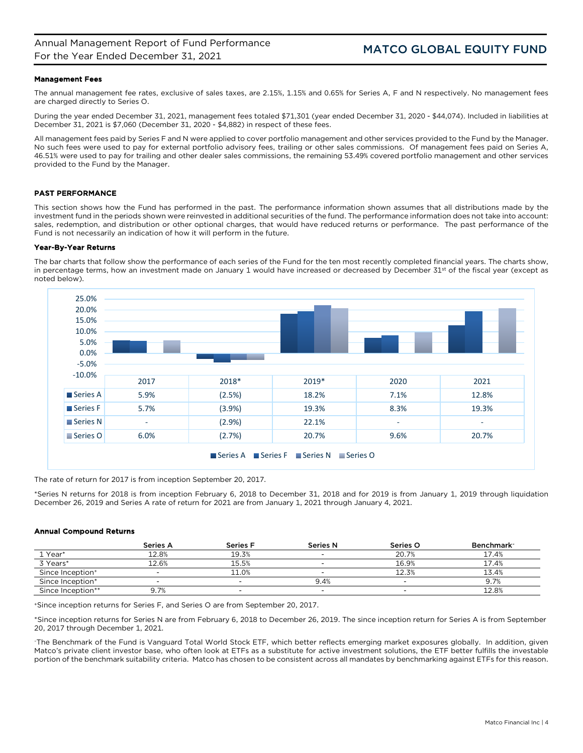### Management Fees

The annual management fee rates, exclusive of sales taxes, are 2.15%, 1.15% and 0.65% for Series A, F and N respectively. No management fees are charged directly to Series O.

During the year ended December 31, 2021, management fees totaled \$71,301 (year ended December 31, 2020 - \$44,074). Included in liabilities at December 31, 2021 is \$7,060 (December 31, 2020 - \$4,882) in respect of these fees.

All management fees paid by Series F and N were applied to cover portfolio management and other services provided to the Fund by the Manager. No such fees were used to pay for external portfolio advisory fees, trailing or other sales commissions. Of management fees paid on Series A, 46.51% were used to pay for trailing and other dealer sales commissions, the remaining 53.49% covered portfolio management and other services provided to the Fund by the Manager.

### PAST PERFORMANCE

This section shows how the Fund has performed in the past. The performance information shown assumes that all distributions made by the investment fund in the periods shown were reinvested in additional securities of the fund. The performance information does not take into account: sales, redemption, and distribution or other optional charges, that would have reduced returns or performance. The past performance of the Fund is not necessarily an indication of how it will perform in the future.

### Year-By-Year Returns

The bar charts that follow show the performance of each series of the Fund for the ten most recently completed financial years. The charts show, in percentage terms, how an investment made on January 1 would have increased or decreased by December 31st of the fiscal year (except as noted below).



The rate of return for 2017 is from inception September 20, 2017.

\*Series N returns for 2018 is from inception February 6, 2018 to December 31, 2018 and for 2019 is from January 1, 2019 through liquidation December 26, 2019 and Series A rate of return for 2021 are from January 1, 2021 through January 4, 2021.

### Annual Compound Returns

|                              | <b>Series A</b> | <b>Series F</b>          | <b>Series N</b>          | Series O                 | Benchmark- |
|------------------------------|-----------------|--------------------------|--------------------------|--------------------------|------------|
| 1 Year*                      | 12.8%           | 19.3%                    | $\sim$                   | 20.7%                    | 17.4%      |
| 3 Years*                     | 12.6%           | 15.5%                    | $\sim$                   | 16.9%                    | 17.4%      |
| Since Inception <sup>+</sup> | -               | 11.0%                    | $\overline{\phantom{a}}$ | 12.3%                    | 13.4%      |
| Since Inception*             | -               | $\overline{\phantom{0}}$ | 9.4%                     | $\overline{\phantom{0}}$ | 9.7%       |
| Since Inception**            | 9.7%            | $\overline{\phantom{a}}$ | $\overline{\phantom{0}}$ | $\sim$                   | 12.8%      |

+Since inception returns for Series F, and Series O are from September 20, 2017.

\*Since inception returns for Series N are from February 6, 2018 to December 26, 2019. The since inception return for Series A is from September 20, 2017 through December 1, 2021.

~The Benchmark of the Fund is Vanguard Total World Stock ETF, which better reflects emerging market exposures globally. In addition, given Matco's private client investor base, who often look at ETFs as a substitute for active investment solutions, the ETF better fulfills the investable portion of the benchmark suitability criteria. Matco has chosen to be consistent across all mandates by benchmarking against ETFs for this reason.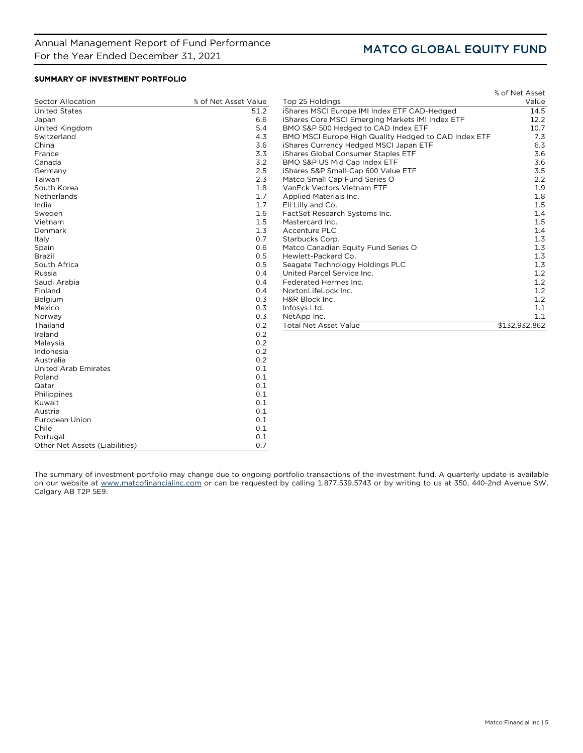Chile 0.1 Portugal 0.1 0.1 Cher Net Assets (Liabilities) 6.7 (2012)

Other Net Assets (Liabilities)

# SUMMARY OF INVESTMENT PORTFOLIO

|                             |                      |                                                      | % of Net Asset |
|-----------------------------|----------------------|------------------------------------------------------|----------------|
| Sector Allocation           | % of Net Asset Value | Top 25 Holdings                                      | Value          |
| <b>United States</b>        | 51.2                 | iShares MSCI Europe IMI Index ETF CAD-Hedged         | 14.5           |
| Japan                       | 6.6                  | iShares Core MSCI Emerging Markets IMI Index ETF     | 12.2           |
| United Kingdom              | 5.4                  | BMO S&P 500 Hedged to CAD Index ETF                  | 10.7           |
| Switzerland                 | 4.3                  | BMO MSCI Europe High Quality Hedged to CAD Index ETF | 7.3            |
| China                       | 3.6                  | iShares Currency Hedged MSCI Japan ETF               | 6.3            |
| France                      | 3.3                  | iShares Global Consumer Staples ETF                  | 3.6            |
| Canada                      | 3.2                  | BMO S&P US Mid Cap Index ETF                         | 3.6            |
| Germany                     | 2.5                  | iShares S&P Small-Cap 600 Value ETF                  | 3.5            |
| Taiwan                      | 2.3                  | Matco Small Cap Fund Series O                        | 2.2            |
| South Korea                 | 1.8                  | VanEck Vectors Vietnam ETF                           | 1.9            |
| Netherlands                 | 1.7                  | Applied Materials Inc.                               | 1.8            |
| India                       | 1.7                  | Eli Lilly and Co.                                    | 1.5            |
| Sweden                      | 1.6                  | FactSet Research Systems Inc.                        | 1.4            |
| Vietnam                     | 1.5                  | Mastercard Inc.                                      | 1.5            |
| Denmark                     | 1.3                  | Accenture PLC                                        | 1.4            |
| Italy                       | 0.7                  | Starbucks Corp.                                      | 1.3            |
| Spain                       | 0.6                  | Matco Canadian Equity Fund Series O                  | 1.3            |
| <b>Brazil</b>               | 0.5                  | Hewlett-Packard Co.                                  | 1.3            |
| South Africa                | 0.5                  | Seagate Technology Holdings PLC                      | 1.3            |
| Russia                      | 0.4                  | United Parcel Service Inc.                           | 1.2            |
| Saudi Arabia                | 0.4                  | Federated Hermes Inc.                                | 1.2            |
| Finland                     | 0.4                  | NortonLifeLock Inc.                                  | 1.2            |
| Belgium                     | 0.3                  | H&R Block Inc.                                       | 1.2            |
| Mexico                      | 0.3                  | Infosys Ltd.                                         | 1.1            |
| Norway                      | 0.3                  | NetApp Inc.                                          | 1.1            |
| Thailand                    | 0.2                  | <b>Total Net Asset Value</b>                         | \$132,932,862  |
| Ireland                     | 0.2                  |                                                      |                |
| Malaysia                    | 0.2                  |                                                      |                |
| Indonesia                   | 0.2                  |                                                      |                |
| Australia                   | 0.2                  |                                                      |                |
| <b>United Arab Emirates</b> | 0.1                  |                                                      |                |
| Poland                      | 0.1                  |                                                      |                |
| Qatar                       | 0.1                  |                                                      |                |
| Philippines                 | 0.1                  |                                                      |                |
| Kuwait                      | 0.1                  |                                                      |                |
| Austria                     | 0.1                  |                                                      |                |
| European Union              | 0.1                  |                                                      |                |

The summary of investment portfolio may change due to ongoing portfolio transactions of the investment fund. A quarterly update is available on our website at [www.matcofinancialinc.com](http://www.matcofinancialinc.com/) or can be requested by calling 1.877.539.5743 or by writing to us at 350, 440-2nd Avenue SW, Calgary AB T2P 5E9.